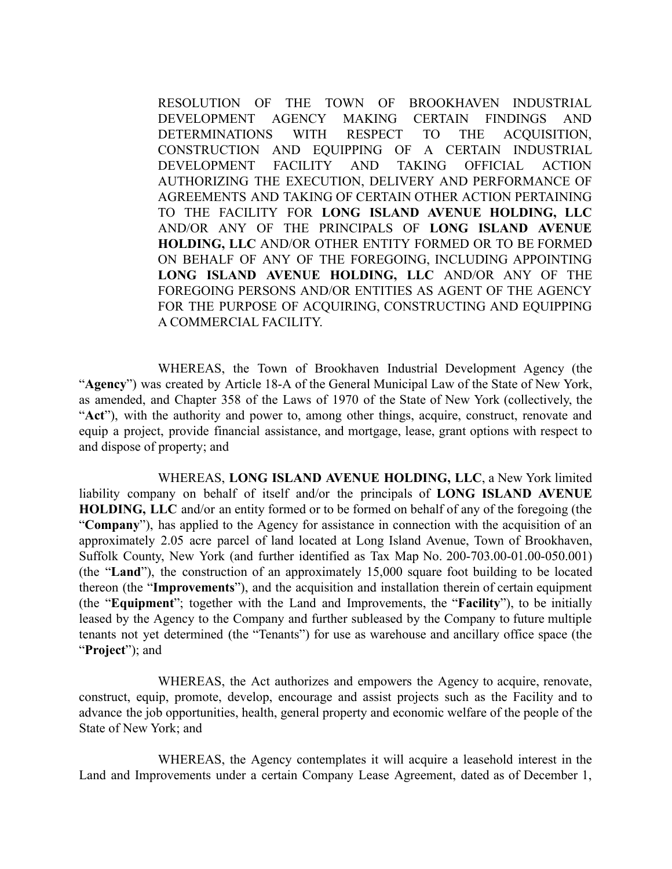RESOLUTION OF THE TOWN OF BROOKHAVEN INDUSTRIAL DEVELOPMENT AGENCY MAKING CERTAIN FINDINGS AND DETERMINATIONS WITH RESPECT TO THE ACQUISITION, CONSTRUCTION AND EQUIPPING OF A CERTAIN INDUSTRIAL DEVELOPMENT FACILITY AND TAKING OFFICIAL ACTION AUTHORIZING THE EXECUTION, DELIVERY AND PERFORMANCE OF AGREEMENTS AND TAKING OF CERTAIN OTHER ACTION PERTAINING TO THE FACILITY FOR **LONG ISLAND AVENUE HOLDING, LLC** AND/OR ANY OF THE PRINCIPALS OF **LONG ISLAND AVENUE HOLDING, LLC** AND/OR OTHER ENTITY FORMED OR TO BE FORMED ON BEHALF OF ANY OF THE FOREGOING, INCLUDING APPOINTING **LONG ISLAND AVENUE HOLDING, LLC** AND/OR ANY OF THE FOREGOING PERSONS AND/OR ENTITIES AS AGENT OF THE AGENCY FOR THE PURPOSE OF ACOUIRING, CONSTRUCTING AND EQUIPPING A COMMERCIAL FACILITY.

WHEREAS, the Town of Brookhaven Industrial Development Agency (the "**Agency**") was created by Article 18-A of the General Municipal Law of the State of New York, as amended, and Chapter 358 of the Laws of 1970 of the State of New York (collectively, the "**Act**"), with the authority and power to, among other things, acquire, construct, renovate and equip a project, provide financial assistance, and mortgage, lease, grant options with respect to and dispose of property; and

WHEREAS, **LONG ISLAND AVENUE HOLDING, LLC**, a New York limited liability company on behalf of itself and/or the principals of **LONG ISLAND AVENUE HOLDING, LLC** and/or an entity formed or to be formed on behalf of any of the foregoing (the "**Company**"), has applied to the Agency for assistance in connection with the acquisition of an approximately 2.05 acre parcel of land located at Long Island Avenue, Town of Brookhaven, Suffolk County, New York (and further identified as Tax Map No. 200-703.00-01.00-050.001) (the "**Land**"), the construction of an approximately 15,000 square foot building to be located thereon (the "**Improvements**"), and the acquisition and installation therein of certain equipment (the "**Equipment**"; together with the Land and Improvements, the "**Facility**"), to be initially leased by the Agency to the Company and further subleased by the Company to future multiple tenants not yet determined (the "Tenants") for use as warehouse and ancillary office space (the "**Project**"); and

WHEREAS, the Act authorizes and empowers the Agency to acquire, renovate, construct, equip, promote, develop, encourage and assist projects such as the Facility and to advance the job opportunities, health, general property and economic welfare of the people of the State of New York; and

WHEREAS, the Agency contemplates it will acquire a leasehold interest in the Land and Improvements under a certain Company Lease Agreement, dated as of December 1,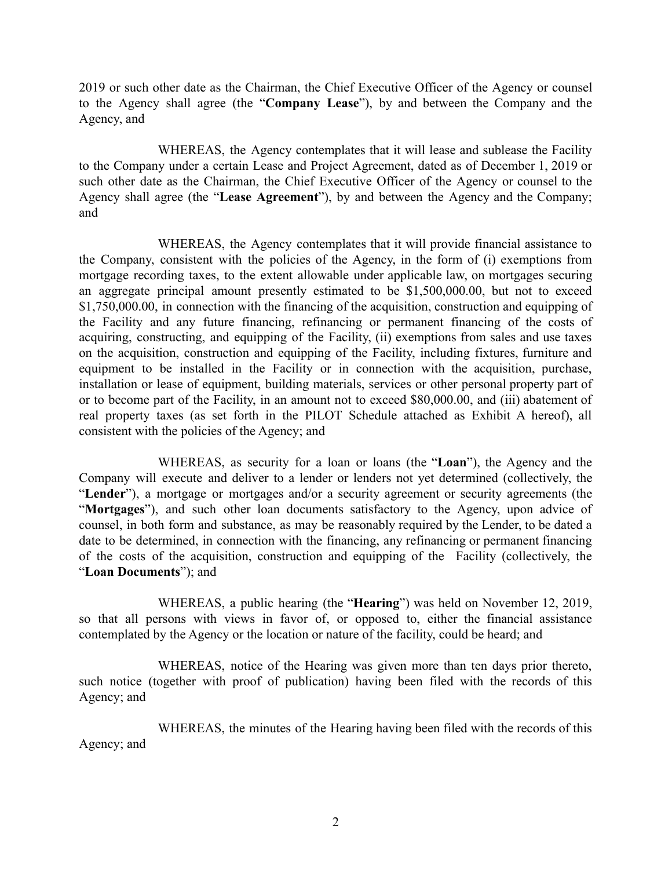2019 or such other date as the Chairman, the Chief Executive Officer of the Agency or counsel to the Agency shall agree (the "**Company Lease**"), by and between the Company and the Agency, and

WHEREAS, the Agency contemplates that it will lease and sublease the Facility to the Company under a certain Lease and Project Agreement, dated as of December 1, 2019 or such other date as the Chairman, the Chief Executive Officer of the Agency or counsel to the Agency shall agree (the "**Lease Agreement**"), by and between the Agency and the Company; and

WHEREAS, the Agency contemplates that it will provide financial assistance to the Company, consistent with the policies of the Agency, in the form of (i) exemptions from mortgage recording taxes, to the extent allowable under applicable law, on mortgages securing an aggregate principal amount presently estimated to be \$1,500,000.00, but not to exceed \$1,750,000.00, in connection with the financing of the acquisition, construction and equipping of the Facility and any future financing, refinancing or permanent financing of the costs of acquiring, constructing, and equipping of the Facility, (ii) exemptions from sales and use taxes on the acquisition, construction and equipping of the Facility, including fixtures, furniture and equipment to be installed in the Facility or in connection with the acquisition, purchase, installation or lease of equipment, building materials, services or other personal property part of or to become part of the Facility, in an amount not to exceed \$80,000.00, and (iii) abatement of real property taxes (as set forth in the PILOT Schedule attached as Exhibit A hereof), all consistent with the policies of the Agency; and

WHEREAS, as security for a loan or loans (the "**Loan**"), the Agency and the Company will execute and deliver to a lender or lenders not yet determined (collectively, the "**Lender**"), a mortgage or mortgages and/or a security agreement or security agreements (the "**Mortgages**"), and such other loan documents satisfactory to the Agency, upon advice of counsel, in both form and substance, as may be reasonably required by the Lender, to be dated a date to be determined, in connection with the financing, any refinancing or permanent financing of the costs of the acquisition, construction and equipping of the Facility (collectively, the "**Loan Documents**"); and

WHEREAS, a public hearing (the "**Hearing**") was held on November 12, 2019, so that all persons with views in favor of, or opposed to, either the financial assistance contemplated by the Agency or the location or nature of the facility, could be heard; and

WHEREAS, notice of the Hearing was given more than ten days prior thereto, such notice (together with proof of publication) having been filed with the records of this Agency; and

WHEREAS, the minutes of the Hearing having been filed with the records of this Agency; and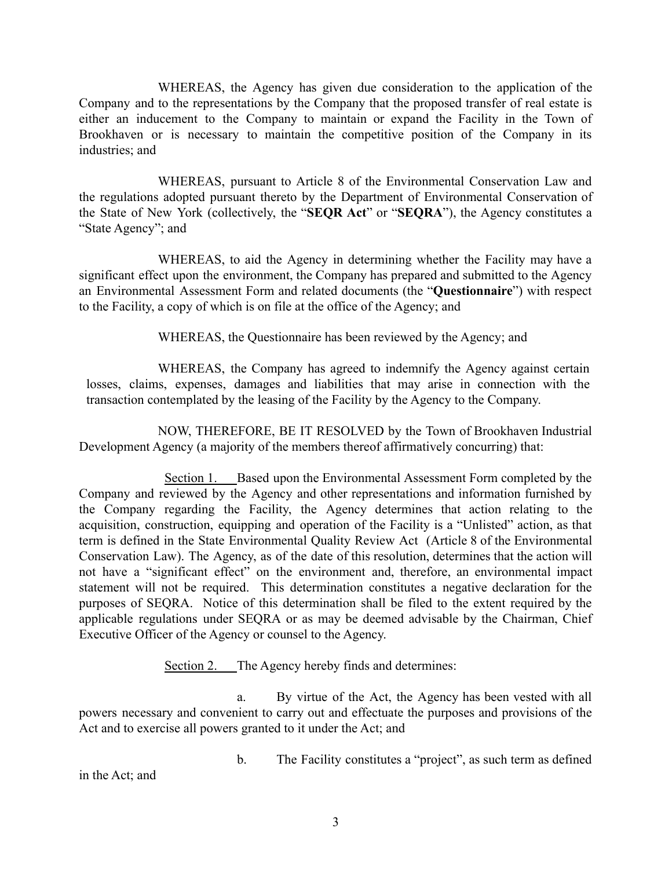WHEREAS, the Agency has given due consideration to the application of the Company and to the representations by the Company that the proposed transfer of real estate is either an inducement to the Company to maintain or expand the Facility in the Town of Brookhaven or is necessary to maintain the competitive position of the Company in its industries; and

WHEREAS, pursuant to Article 8 of the Environmental Conservation Law and the regulations adopted pursuant thereto by the Department of Environmental Conservation of the State of New York (collectively, the "**SEQR Act**" or "**SEQRA**"), the Agency constitutes a "State Agency"; and

WHEREAS, to aid the Agency in determining whether the Facility may have a significant effect upon the environment, the Company has prepared and submitted to the Agency an Environmental Assessment Form and related documents (the "**Questionnaire**") with respect to the Facility, a copy of which is on file at the office of the Agency; and

WHEREAS, the Questionnaire has been reviewed by the Agency; and

WHEREAS, the Company has agreed to indemnify the Agency against certain losses, claims, expenses, damages and liabilities that may arise in connection with the transaction contemplated by the leasing of the Facility by the Agency to the Company.

NOW, THEREFORE, BE IT RESOLVED by the Town of Brookhaven Industrial Development Agency (a majority of the members thereof affirmatively concurring) that:

Section 1. Based upon the Environmental Assessment Form completed by the Company and reviewed by the Agency and other representations and information furnished by the Company regarding the Facility, the Agency determines that action relating to the acquisition, construction, equipping and operation of the Facility is a "Unlisted" action, as that term is defined in the State Environmental Quality Review Act (Article 8 of the Environmental Conservation Law). The Agency, as of the date of this resolution, determines that the action will not have a "significant effect" on the environment and, therefore, an environmental impact statement will not be required. This determination constitutes a negative declaration for the purposes of SEQRA. Notice of this determination shall be filed to the extent required by the applicable regulations under SEQRA or as may be deemed advisable by the Chairman, Chief Executive Officer of the Agency or counsel to the Agency.

Section 2. The Agency hereby finds and determines:

a. By virtue of the Act, the Agency has been vested with all powers necessary and convenient to carry out and effectuate the purposes and provisions of the Act and to exercise all powers granted to it under the Act; and

b. The Facility constitutes a "project", as such term as defined

in the Act; and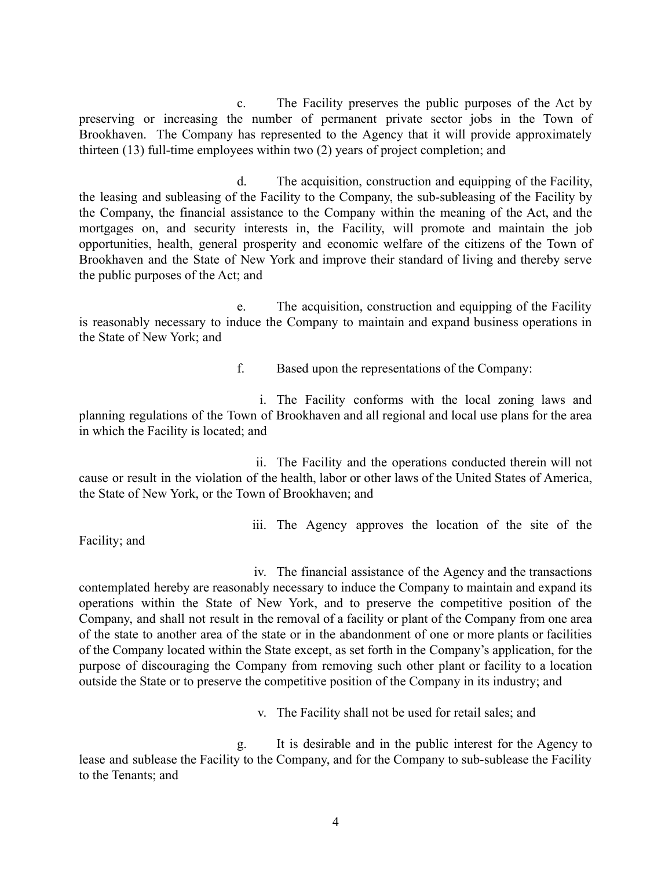c. The Facility preserves the public purposes of the Act by preserving or increasing the number of permanent private sector jobs in the Town of Brookhaven. The Company has represented to the Agency that it will provide approximately thirteen (13) full-time employees within two (2) years of project completion; and

d. The acquisition, construction and equipping of the Facility, the leasing and subleasing of the Facility to the Company, the sub-subleasing of the Facility by the Company, the financial assistance to the Company within the meaning of the Act, and the mortgages on, and security interests in, the Facility, will promote and maintain the job opportunities, health, general prosperity and economic welfare of the citizens of the Town of Brookhaven and the State of New York and improve their standard of living and thereby serve the public purposes of the Act; and

e. The acquisition, construction and equipping of the Facility is reasonably necessary to induce the Company to maintain and expand business operations in the State of New York; and

f. Based upon the representations of the Company:

i. The Facility conforms with the local zoning laws and planning regulations of the Town of Brookhaven and all regional and local use plans for the area in which the Facility is located; and

ii. The Facility and the operations conducted therein will not cause or result in the violation of the health, labor or other laws of the United States of America, the State of New York, or the Town of Brookhaven; and

Facility; and

iii. The Agency approves the location of the site of the

iv. The financial assistance of the Agency and the transactions contemplated hereby are reasonably necessary to induce the Company to maintain and expand its operations within the State of New York, and to preserve the competitive position of the Company, and shall not result in the removal of a facility or plant of the Company from one area of the state to another area of the state or in the abandonment of one or more plants or facilities of the Company located within the State except, as set forth in the Company's application, for the purpose of discouraging the Company from removing such other plant or facility to a location outside the State or to preserve the competitive position of the Company in its industry; and

v. The Facility shall not be used for retail sales; and

g. It is desirable and in the public interest for the Agency to lease and sublease the Facility to the Company, and for the Company to sub-sublease the Facility to the Tenants; and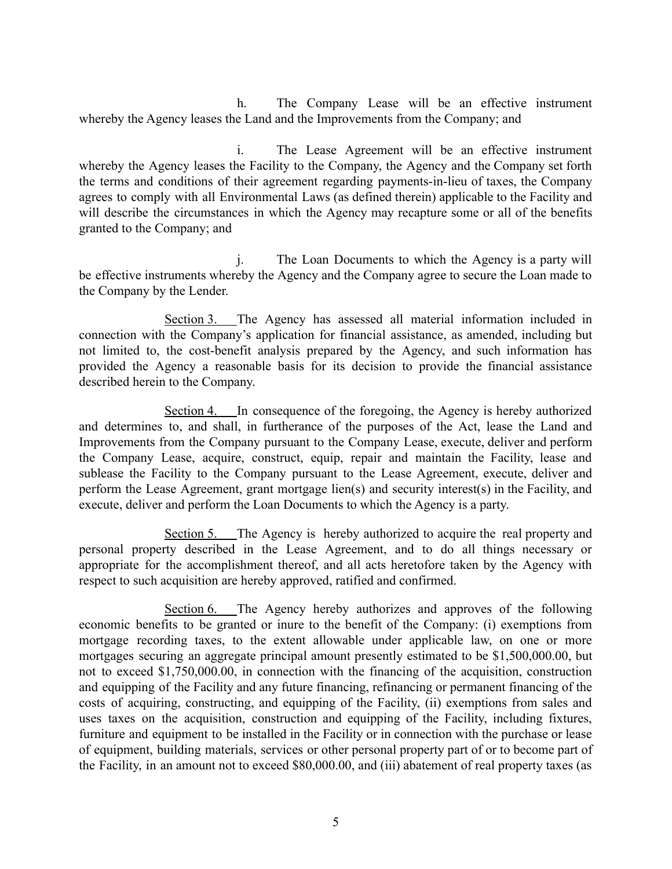h. The Company Lease will be an effective instrument whereby the Agency leases the Land and the Improvements from the Company; and

i. The Lease Agreement will be an effective instrument whereby the Agency leases the Facility to the Company, the Agency and the Company set forth the terms and conditions of their agreement regarding payments-in-lieu of taxes, the Company agrees to comply with all Environmental Laws (as defined therein) applicable to the Facility and will describe the circumstances in which the Agency may recapture some or all of the benefits granted to the Company; and

j. The Loan Documents to which the Agency is a party will be effective instruments whereby the Agency and the Company agree to secure the Loan made to the Company by the Lender.

Section 3. The Agency has assessed all material information included in connection with the Company's application for financial assistance, as amended, including but not limited to, the cost-benefit analysis prepared by the Agency, and such information has provided the Agency a reasonable basis for its decision to provide the financial assistance described herein to the Company.

Section 4. In consequence of the foregoing, the Agency is hereby authorized and determines to, and shall, in furtherance of the purposes of the Act, lease the Land and Improvements from the Company pursuant to the Company Lease, execute, deliver and perform the Company Lease, acquire, construct, equip, repair and maintain the Facility, lease and sublease the Facility to the Company pursuant to the Lease Agreement, execute, deliver and perform the Lease Agreement, grant mortgage lien(s) and security interest(s) in the Facility, and execute, deliver and perform the Loan Documents to which the Agency is a party.

Section 5. The Agency is hereby authorized to acquire the real property and personal property described in the Lease Agreement, and to do all things necessary or appropriate for the accomplishment thereof, and all acts heretofore taken by the Agency with respect to such acquisition are hereby approved, ratified and confirmed.

Section 6. The Agency hereby authorizes and approves of the following economic benefits to be granted or inure to the benefit of the Company: (i) exemptions from mortgage recording taxes, to the extent allowable under applicable law, on one or more mortgages securing an aggregate principal amount presently estimated to be \$1,500,000.00, but not to exceed \$1,750,000.00, in connection with the financing of the acquisition, construction and equipping of the Facility and any future financing, refinancing or permanent financing of the costs of acquiring, constructing, and equipping of the Facility, (ii) exemptions from sales and uses taxes on the acquisition, construction and equipping of the Facility, including fixtures, furniture and equipment to be installed in the Facility or in connection with the purchase or lease of equipment, building materials, services or other personal property part of or to become part of the Facility, in an amount not to exceed \$80,000.00, and (iii) abatement of real property taxes (as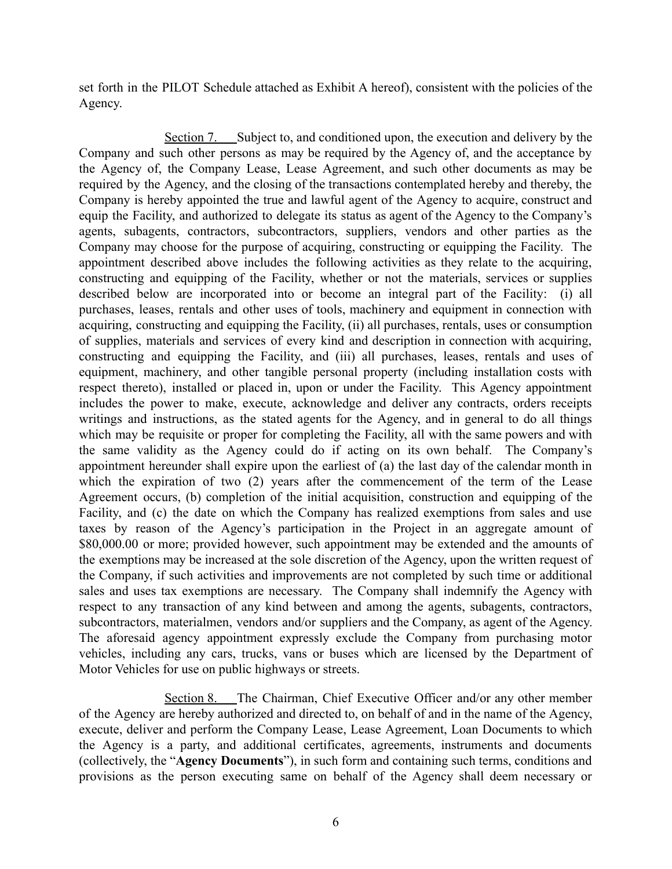set forth in the PILOT Schedule attached as Exhibit A hereof), consistent with the policies of the Agency.

Section 7. Subject to, and conditioned upon, the execution and delivery by the Company and such other persons as may be required by the Agency of, and the acceptance by the Agency of, the Company Lease, Lease Agreement, and such other documents as may be required by the Agency, and the closing of the transactions contemplated hereby and thereby, the Company is hereby appointed the true and lawful agent of the Agency to acquire, construct and equip the Facility, and authorized to delegate its status as agent of the Agency to the Company's agents, subagents, contractors, subcontractors, suppliers, vendors and other parties as the Company may choose for the purpose of acquiring, constructing or equipping the Facility. The appointment described above includes the following activities as they relate to the acquiring, constructing and equipping of the Facility, whether or not the materials, services or supplies described below are incorporated into or become an integral part of the Facility: (i) all purchases, leases, rentals and other uses of tools, machinery and equipment in connection with acquiring, constructing and equipping the Facility, (ii) all purchases, rentals, uses or consumption of supplies, materials and services of every kind and description in connection with acquiring, constructing and equipping the Facility, and (iii) all purchases, leases, rentals and uses of equipment, machinery, and other tangible personal property (including installation costs with respect thereto), installed or placed in, upon or under the Facility. This Agency appointment includes the power to make, execute, acknowledge and deliver any contracts, orders receipts writings and instructions, as the stated agents for the Agency, and in general to do all things which may be requisite or proper for completing the Facility, all with the same powers and with the same validity as the Agency could do if acting on its own behalf. The Company's appointment hereunder shall expire upon the earliest of (a) the last day of the calendar month in which the expiration of two (2) years after the commencement of the term of the Lease Agreement occurs, (b) completion of the initial acquisition, construction and equipping of the Facility, and (c) the date on which the Company has realized exemptions from sales and use taxes by reason of the Agency's participation in the Project in an aggregate amount of \$80,000.00 or more; provided however, such appointment may be extended and the amounts of the exemptions may be increased at the sole discretion of the Agency, upon the written request of the Company, if such activities and improvements are not completed by such time or additional sales and uses tax exemptions are necessary. The Company shall indemnify the Agency with respect to any transaction of any kind between and among the agents, subagents, contractors, subcontractors, materialmen, vendors and/or suppliers and the Company, as agent of the Agency. The aforesaid agency appointment expressly exclude the Company from purchasing motor vehicles, including any cars, trucks, vans or buses which are licensed by the Department of Motor Vehicles for use on public highways or streets.

Section 8. The Chairman, Chief Executive Officer and/or any other member of the Agency are hereby authorized and directed to, on behalf of and in the name of the Agency, execute, deliver and perform the Company Lease, Lease Agreement, Loan Documents to which the Agency is a party, and additional certificates, agreements, instruments and documents (collectively, the "**Agency Documents**"), in such form and containing such terms, conditions and provisions as the person executing same on behalf of the Agency shall deem necessary or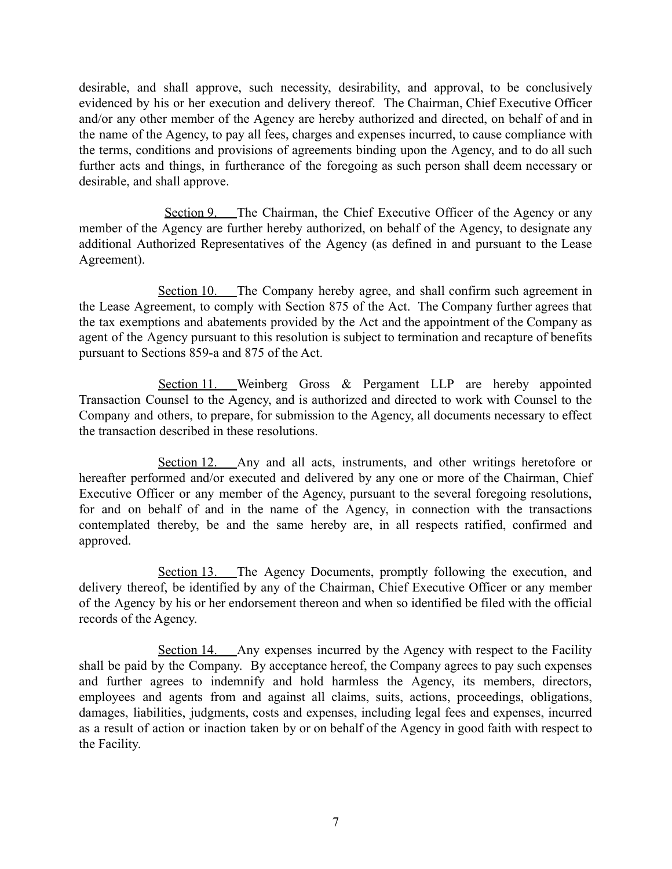desirable, and shall approve, such necessity, desirability, and approval, to be conclusively evidenced by his or her execution and delivery thereof. The Chairman, Chief Executive Officer and/or any other member of the Agency are hereby authorized and directed, on behalf of and in the name of the Agency, to pay all fees, charges and expenses incurred, to cause compliance with the terms, conditions and provisions of agreements binding upon the Agency, and to do all such further acts and things, in furtherance of the foregoing as such person shall deem necessary or desirable, and shall approve.

Section 9. The Chairman, the Chief Executive Officer of the Agency or any member of the Agency are further hereby authorized, on behalf of the Agency, to designate any additional Authorized Representatives of the Agency (as defined in and pursuant to the Lease Agreement).

Section 10. The Company hereby agree, and shall confirm such agreement in the Lease Agreement, to comply with Section 875 of the Act. The Company further agrees that the tax exemptions and abatements provided by the Act and the appointment of the Company as agent of the Agency pursuant to this resolution is subject to termination and recapture of benefits pursuant to Sections 859-a and 875 of the Act.

Section 11. Weinberg Gross & Pergament LLP are hereby appointed Transaction Counsel to the Agency, and is authorized and directed to work with Counsel to the Company and others, to prepare, for submission to the Agency, all documents necessary to effect the transaction described in these resolutions.

Section 12. Any and all acts, instruments, and other writings heretofore or hereafter performed and/or executed and delivered by any one or more of the Chairman, Chief Executive Officer or any member of the Agency, pursuant to the several foregoing resolutions, for and on behalf of and in the name of the Agency, in connection with the transactions contemplated thereby, be and the same hereby are, in all respects ratified, confirmed and approved.

Section 13. The Agency Documents, promptly following the execution, and delivery thereof, be identified by any of the Chairman, Chief Executive Officer or any member of the Agency by his or her endorsement thereon and when so identified be filed with the official records of the Agency.

Section 14. Any expenses incurred by the Agency with respect to the Facility shall be paid by the Company. By acceptance hereof, the Company agrees to pay such expenses and further agrees to indemnify and hold harmless the Agency, its members, directors, employees and agents from and against all claims, suits, actions, proceedings, obligations, damages, liabilities, judgments, costs and expenses, including legal fees and expenses, incurred as a result of action or inaction taken by or on behalf of the Agency in good faith with respect to the Facility.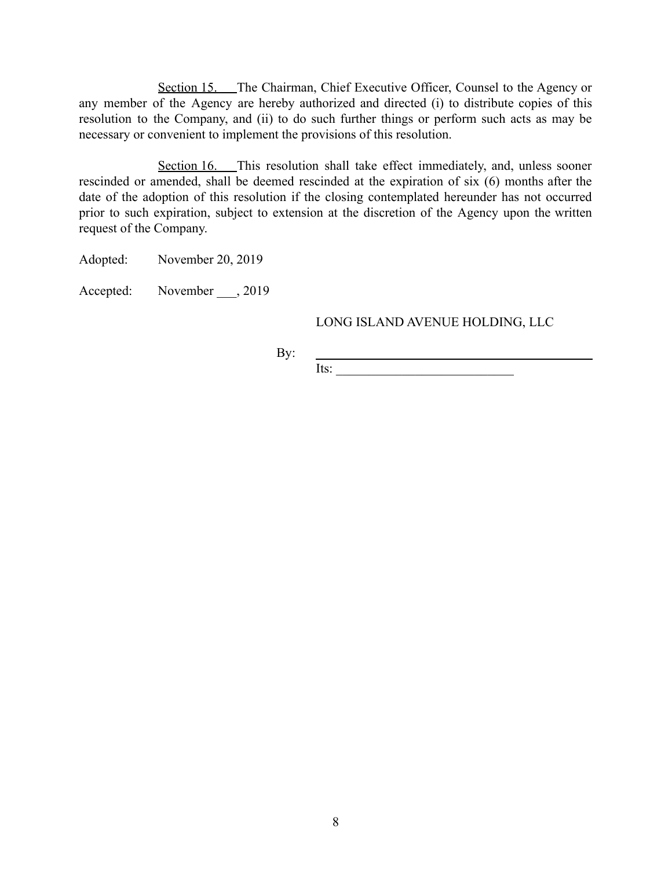Section 15. The Chairman, Chief Executive Officer, Counsel to the Agency or any member of the Agency are hereby authorized and directed (i) to distribute copies of this resolution to the Company, and (ii) to do such further things or perform such acts as may be necessary or convenient to implement the provisions of this resolution.

Section 16. This resolution shall take effect immediately, and, unless sooner rescinded or amended, shall be deemed rescinded at the expiration of six (6) months after the date of the adoption of this resolution if the closing contemplated hereunder has not occurred prior to such expiration, subject to extension at the discretion of the Agency upon the written request of the Company.

Adopted: November 20, 2019

Accepted: November , 2019

### LONG ISLAND AVENUE HOLDING, LLC

By:

Its: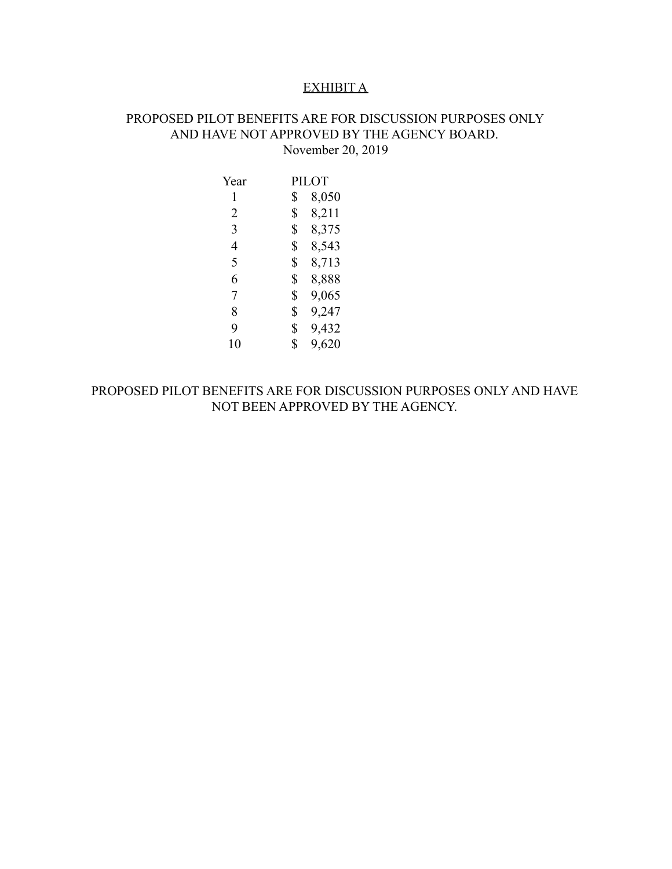#### EXHIBIT A

## PROPOSED PILOT BENEFITS ARE FOR DISCUSSION PURPOSES ONLY AND HAVE NOT APPROVED BY THE AGENCY BOARD. November 20, 2019

Year 1 PILOT \$ 8,050 2 \$ 8,211 3 \$ 8,375 4 \$ 8,543 5 \$ 8,713 6 \$ 8,888 7 \$ 9,065 8 \$ 9,247 9 \$ 9,432 10 \$ 9,620

PROPOSED PILOT BENEFITS ARE FOR DISCUSSION PURPOSES ONLY AND HAVE NOT BEEN APPROVED BY THE AGENCY.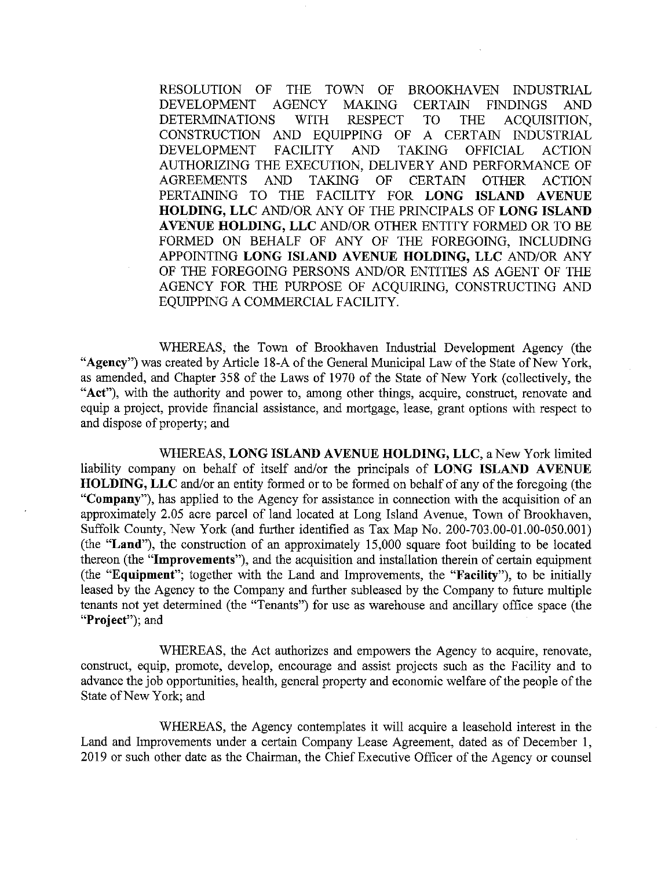RESOLUTION OF THE TOWN OF BROOKHAVEN INDUSTRIAL DEVELOPMENT **AGENCY MAKING CERTAIN FINDINGS** AND **DETERMINATIONS** WITH **RESPECT TO** ACQUISITION, **THE** CONSTRUCTION AND EOUIPPING OF A CERTAIN INDUSTRIAL **DEVELOPMENT FACILITY AND TAKING OFFICIAL ACTION** AUTHORIZING THE EXECUTION, DELIVERY AND PERFORMANCE OF **AGREEMENTS AND TAKING** OF **CERTAIN OTHER ACTION** PERTAINING TO THE FACILITY FOR LONG ISLAND AVENUE HOLDING, LLC AND/OR ANY OF THE PRINCIPALS OF LONG ISLAND AVENUE HOLDING, LLC AND/OR OTHER ENTITY FORMED OR TO BE FORMED ON BEHALF OF ANY OF THE FOREGOING, INCLUDING APPOINTING LONG ISLAND AVENUE HOLDING, LLC AND/OR ANY OF THE FOREGOING PERSONS AND/OR ENTITIES AS AGENT OF THE AGENCY FOR THE PURPOSE OF ACQUIRING, CONSTRUCTING AND EQUIPPING A COMMERCIAL FACILITY.

WHEREAS, the Town of Brookhaven Industrial Development Agency (the "Agency") was created by Article 18-A of the General Municipal Law of the State of New York, as amended, and Chapter 358 of the Laws of 1970 of the State of New York (collectively, the "Act"), with the authority and power to, among other things, acquire, construct, renovate and equip a project, provide financial assistance, and mortgage, lease, grant options with respect to and dispose of property; and

WHEREAS, LONG ISLAND AVENUE HOLDING, LLC, a New York limited liability company on behalf of itself and/or the principals of LONG ISLAND AVENUE HOLDING, LLC and/or an entity formed or to be formed on behalf of any of the foregoing (the "Company"), has applied to the Agency for assistance in connection with the acquisition of an approximately 2.05 acre parcel of land located at Long Island Avenue, Town of Brookhaven, Suffolk County, New York (and further identified as Tax Map No. 200-703.00-01.00-050.001) (the "Land"), the construction of an approximately 15,000 square foot building to be located thereon (the "Improvements"), and the acquisition and installation therein of certain equipment (the "Equipment"; together with the Land and Improvements, the "Facility"), to be initially leased by the Agency to the Company and further subleased by the Company to future multiple tenants not yet determined (the "Tenants") for use as warehouse and ancillary office space (the "Project"); and

WHEREAS, the Act authorizes and empowers the Agency to acquire, renovate, construct, equip, promote, develop, encourage and assist projects such as the Facility and to advance the job opportunities, health, general property and economic welfare of the people of the State of New York; and

WHEREAS, the Agency contemplates it will acquire a leasehold interest in the Land and Improvements under a certain Company Lease Agreement, dated as of December 1, 2019 or such other date as the Chairman, the Chief Executive Officer of the Agency or counsel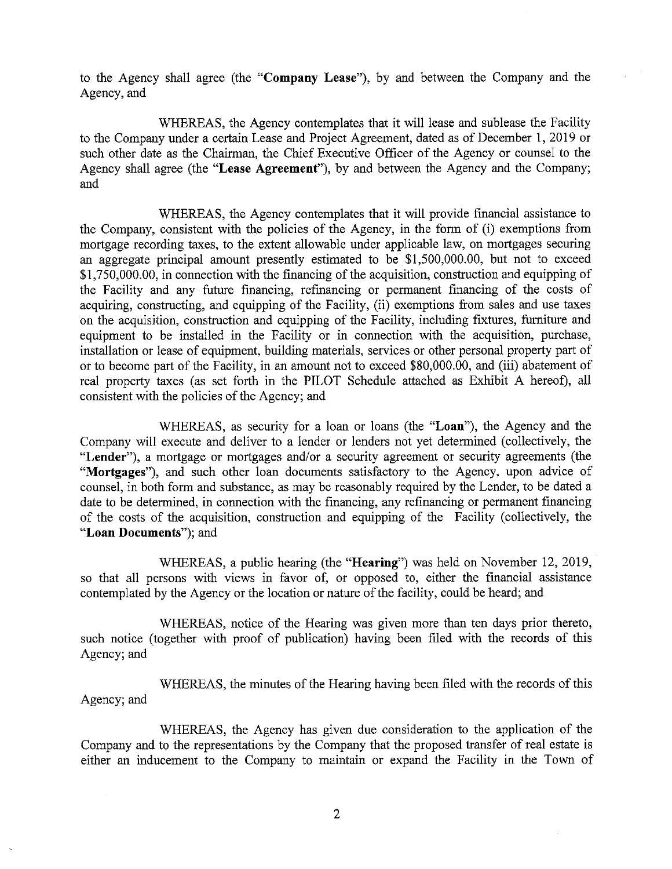to the Agency shall agree (the "Company Lease"), by and between the Company and the Agency, and

WHEREAS, the Agency contemplates that it will lease and sublease the Facility to the Company under a certain Lease and Project Agreement, dated as of December 1, 2019 or such other date as the Chairman, the Chief Executive Officer of the Agency or counsel to the Agency shall agree (the "Lease Agreement"), by and between the Agency and the Company; and

WHEREAS, the Agency contemplates that it will provide financial assistance to the Company, consistent with the policies of the Agency, in the form of (i) exemptions from mortgage recording taxes, to the extent allowable under applicable law, on mortgages securing an aggregate principal amount presently estimated to be \$1,500,000.00, but not to exceed \$1,750,000.00, in connection with the financing of the acquisition, construction and equipping of the Facility and any future financing, refinancing or permanent financing of the costs of acquiring, constructing, and equipping of the Facility, (ii) exemptions from sales and use taxes on the acquisition, construction and equipping of the Facility, including fixtures, furniture and equipment to be installed in the Facility or in connection with the acquisition, purchase, installation or lease of equipment, building materials, services or other personal property part of or to become part of the Facility, in an amount not to exceed \$80,000.00, and (iii) abatement of real property taxes (as set forth in the PILOT Schedule attached as Exhibit A hereof), all consistent with the policies of the Agency; and

WHEREAS, as security for a loan or loans (the "Loan"), the Agency and the Company will execute and deliver to a lender or lenders not yet determined (collectively, the "Lender"), a mortgage or mortgages and/or a security agreement or security agreements (the "Mortgages"), and such other loan documents satisfactory to the Agency, upon advice of counsel, in both form and substance, as may be reasonably required by the Lender, to be dated a date to be determined, in connection with the financing, any refinancing or permanent financing of the costs of the acquisition, construction and equipping of the Facility (collectively, the "Loan Documents"); and

WHEREAS, a public hearing (the "Hearing") was held on November 12, 2019, so that all persons with views in favor of, or opposed to, either the financial assistance contemplated by the Agency or the location or nature of the facility, could be heard; and

WHEREAS, notice of the Hearing was given more than ten days prior thereto, such notice (together with proof of publication) having been filed with the records of this Agency; and

WHEREAS, the minutes of the Hearing having been filed with the records of this Agency; and

WHEREAS, the Agency has given due consideration to the application of the Company and to the representations by the Company that the proposed transfer of real estate is either an inducement to the Company to maintain or expand the Facility in the Town of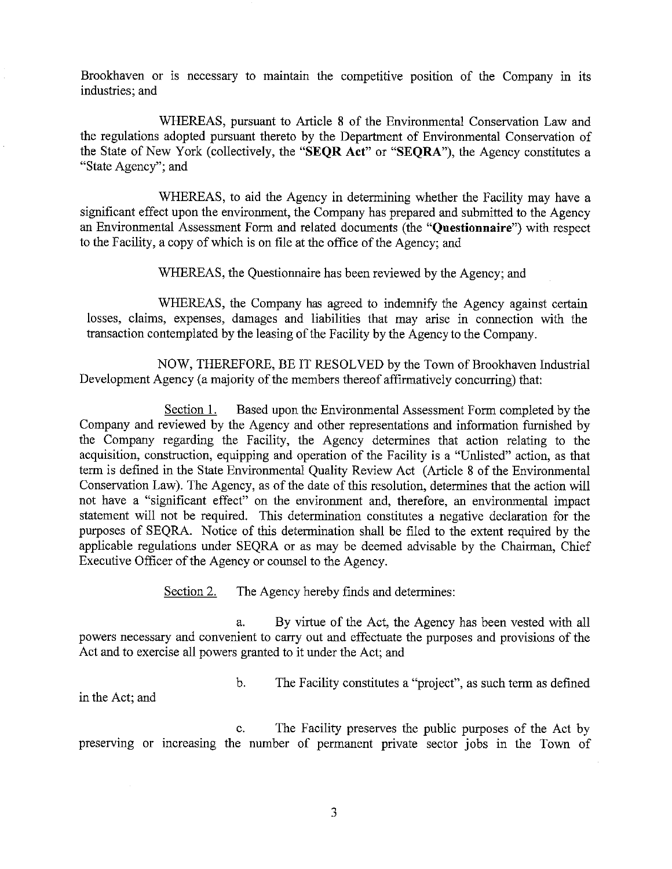Brookhaven or is necessary to maintain the competitive position of the Company in its industries; and

WHEREAS, pursuant to Article 8 of the Environmental Conservation Law and the regulations adopted pursuant thereto by the Department of Environmental Conservation of the State of New York (collectively, the "SEQR Act" or "SEQRA"), the Agency constitutes a "State Agency"; and

WHEREAS, to aid the Agency in determining whether the Facility may have a significant effect upon the environment, the Company has prepared and submitted to the Agency an Environmental Assessment Form and related documents (the "Questionnaire") with respect to the Facility, a copy of which is on file at the office of the Agency; and

WHEREAS, the Questionnaire has been reviewed by the Agency; and

WHEREAS, the Company has agreed to indemnify the Agency against certain losses, claims, expenses, damages and liabilities that may arise in connection with the transaction contemplated by the leasing of the Facility by the Agency to the Company.

NOW, THEREFORE, BE IT RESOLVED by the Town of Brookhaven Industrial Development Agency (a majority of the members thereof affirmatively concurring) that:

Section 1. Based upon the Environmental Assessment Form completed by the Company and reviewed by the Agency and other representations and information furnished by the Company regarding the Facility, the Agency determines that action relating to the acquisition, construction, equipping and operation of the Facility is a "Unlisted" action, as that term is defined in the State Environmental Quality Review Act (Article 8 of the Environmental Conservation Law). The Agency, as of the date of this resolution, determines that the action will not have a "significant effect" on the environment and, therefore, an environmental impact statement will not be required. This determination constitutes a negative declaration for the purposes of SEQRA. Notice of this determination shall be filed to the extent required by the applicable regulations under SEQRA or as may be deemed advisable by the Chairman, Chief Executive Officer of the Agency or counsel to the Agency.

> Section 2. The Agency hereby finds and determines:

> > b.

By virtue of the Act, the Agency has been vested with all a. powers necessary and convenient to carry out and effectuate the purposes and provisions of the Act and to exercise all powers granted to it under the Act; and

The Facility constitutes a "project", as such term as defined

in the Act; and

c. The Facility preserves the public purposes of the Act by preserving or increasing the number of permanent private sector jobs in the Town of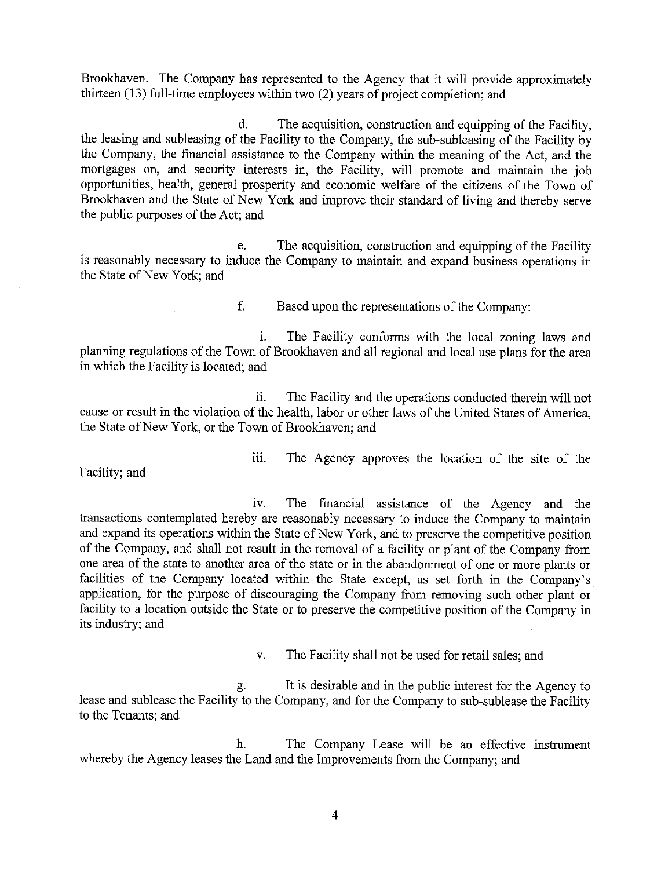Brookhaven. The Company has represented to the Agency that it will provide approximately thirteen (13) full-time employees within two (2) years of project completion; and

d. The acquisition, construction and equipping of the Facility, the leasing and subleasing of the Facility to the Company, the sub-subleasing of the Facility by the Company, the financial assistance to the Company within the meaning of the Act, and the mortgages on, and security interests in, the Facility, will promote and maintain the job opportunities, health, general prosperity and economic welfare of the citizens of the Town of Brookhaven and the State of New York and improve their standard of living and thereby serve the public purposes of the Act; and

The acquisition, construction and equipping of the Facility e. is reasonably necessary to induce the Company to maintain and expand business operations in the State of New York: and

> f. Based upon the representations of the Company:

 $\mathbf{i}$ . The Facility conforms with the local zoning laws and planning regulations of the Town of Brookhaven and all regional and local use plans for the area in which the Facility is located; and

ii. The Facility and the operations conducted therein will not cause or result in the violation of the health, labor or other laws of the United States of America, the State of New York, or the Town of Brookhaven; and

Facility; and

iii. The Agency approves the location of the site of the

The financial assistance of the Agency and the  $1V$ . transactions contemplated hereby are reasonably necessary to induce the Company to maintain and expand its operations within the State of New York, and to preserve the competitive position of the Company, and shall not result in the removal of a facility or plant of the Company from one area of the state to another area of the state or in the abandonment of one or more plants or facilities of the Company located within the State except, as set forth in the Company's application, for the purpose of discouraging the Company from removing such other plant or facility to a location outside the State or to preserve the competitive position of the Company in its industry; and

> $V_{\star}$ The Facility shall not be used for retail sales; and

It is desirable and in the public interest for the Agency to р. lease and sublease the Facility to the Company, and for the Company to sub-sublease the Facility to the Tenants; and

h. The Company Lease will be an effective instrument whereby the Agency leases the Land and the Improvements from the Company; and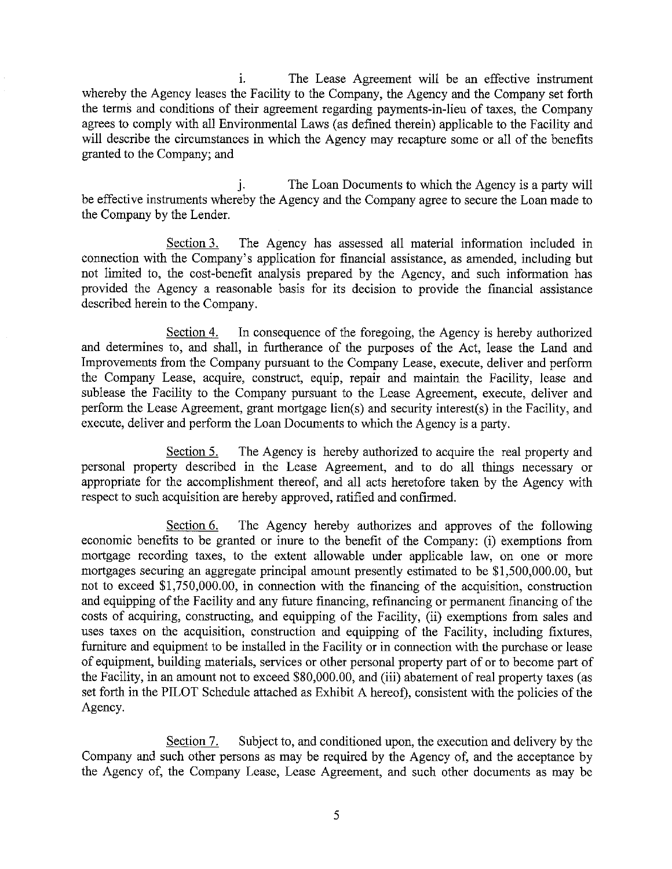i. The Lease Agreement will be an effective instrument whereby the Agency leases the Facility to the Company, the Agency and the Company set forth the terms and conditions of their agreement regarding payments-in-lieu of taxes, the Company agrees to comply with all Environmental Laws (as defined therein) applicable to the Facility and will describe the circumstances in which the Agency may recapture some or all of the benefits granted to the Company; and

The Loan Documents to which the Agency is a party will j. be effective instruments whereby the Agency and the Company agree to secure the Loan made to the Company by the Lender.

Section 3. The Agency has assessed all material information included in connection with the Company's application for financial assistance, as amended, including but not limited to, the cost-benefit analysis prepared by the Agency, and such information has provided the Agency a reasonable basis for its decision to provide the financial assistance described herein to the Company.

In consequence of the foregoing, the Agency is hereby authorized Section 4. and determines to, and shall, in furtherance of the purposes of the Act, lease the Land and Improvements from the Company pursuant to the Company Lease, execute, deliver and perform the Company Lease, acquire, construct, equip, repair and maintain the Facility, lease and sublease the Facility to the Company pursuant to the Lease Agreement, execute, deliver and perform the Lease Agreement, grant mortgage lien(s) and security interest(s) in the Facility, and execute, deliver and perform the Loan Documents to which the Agency is a party.

Section 5. The Agency is hereby authorized to acquire the real property and personal property described in the Lease Agreement, and to do all things necessary or appropriate for the accomplishment thereof, and all acts heretofore taken by the Agency with respect to such acquisition are hereby approved, ratified and confirmed.

The Agency hereby authorizes and approves of the following Section 6. economic benefits to be granted or inure to the benefit of the Company: (i) exemptions from mortgage recording taxes, to the extent allowable under applicable law, on one or more mortgages securing an aggregate principal amount presently estimated to be \$1,500,000.00, but not to exceed \$1,750,000.00, in connection with the financing of the acquisition, construction and equipping of the Facility and any future financing, refinancing or permanent financing of the costs of acquiring, constructing, and equipping of the Facility, (ii) exemptions from sales and uses taxes on the acquisition, construction and equipping of the Facility, including fixtures, furniture and equipment to be installed in the Facility or in connection with the purchase or lease of equipment, building materials, services or other personal property part of or to become part of the Facility, in an amount not to exceed \$80,000.00, and (iii) abatement of real property taxes (as set forth in the PILOT Schedule attached as Exhibit A hereof), consistent with the policies of the Agency.

Section 7. Subject to, and conditioned upon, the execution and delivery by the Company and such other persons as may be required by the Agency of, and the acceptance by the Agency of, the Company Lease, Lease Agreement, and such other documents as may be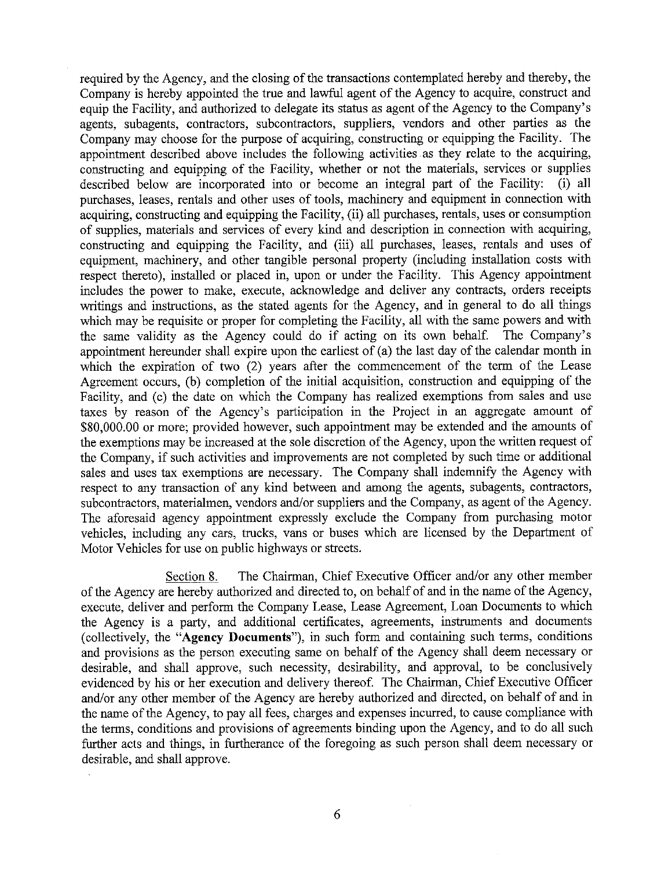required by the Agency, and the closing of the transactions contemplated hereby and thereby, the Company is hereby appointed the true and lawful agent of the Agency to acquire, construct and equip the Facility, and authorized to delegate its status as agent of the Agency to the Company's agents, subagents, contractors, subcontractors, suppliers, vendors and other parties as the Company may choose for the purpose of acquiring, constructing or equipping the Facility. The appointment described above includes the following activities as they relate to the acquiring, constructing and equipping of the Facility, whether or not the materials, services or supplies described below are incorporated into or become an integral part of the Facility: (i) all purchases, leases, rentals and other uses of tools, machinery and equipment in connection with acquiring, constructing and equipping the Facility, (ii) all purchases, rentals, uses or consumption of supplies, materials and services of every kind and description in connection with acquiring, constructing and equipping the Facility, and (iii) all purchases, leases, rentals and uses of equipment, machinery, and other tangible personal property (including installation costs with respect thereto), installed or placed in, upon or under the Facility. This Agency appointment includes the power to make, execute, acknowledge and deliver any contracts, orders receipts writings and instructions, as the stated agents for the Agency, and in general to do all things which may be requisite or proper for completing the Facility, all with the same powers and with the same validity as the Agency could do if acting on its own behalf. The Company's appointment hereunder shall expire upon the earliest of  $(a)$  the last day of the calendar month in which the expiration of two (2) years after the commencement of the term of the Lease Agreement occurs, (b) completion of the initial acquisition, construction and equipping of the Facility, and (c) the date on which the Company has realized exemptions from sales and use taxes by reason of the Agency's participation in the Project in an aggregate amount of \$80,000.00 or more; provided however, such appointment may be extended and the amounts of the exemptions may be increased at the sole discretion of the Agency, upon the written request of the Company, if such activities and improvements are not completed by such time or additional sales and uses tax exemptions are necessary. The Company shall indemnify the Agency with respect to any transaction of any kind between and among the agents, subagents, contractors, subcontractors, materialmen, vendors and/or suppliers and the Company, as agent of the Agency. The aforesaid agency appointment expressly exclude the Company from purchasing motor vehicles, including any cars, trucks, vans or buses which are licensed by the Department of Motor Vehicles for use on public highways or streets.

The Chairman, Chief Executive Officer and/or any other member Section 8. of the Agency are hereby authorized and directed to, on behalf of and in the name of the Agency, execute, deliver and perform the Company Lease, Lease Agreement, Loan Documents to which the Agency is a party, and additional certificates, agreements, instruments and documents (collectively, the "Agency Documents"), in such form and containing such terms, conditions and provisions as the person executing same on behalf of the Agency shall deem necessary or desirable, and shall approve, such necessity, desirability, and approval, to be conclusively evidenced by his or her execution and delivery thereof. The Chairman, Chief Executive Officer and/or any other member of the Agency are hereby authorized and directed, on behalf of and in the name of the Agency, to pay all fees, charges and expenses incurred, to cause compliance with the terms, conditions and provisions of agreements binding upon the Agency, and to do all such further acts and things, in furtherance of the foregoing as such person shall deem necessary or desirable, and shall approve.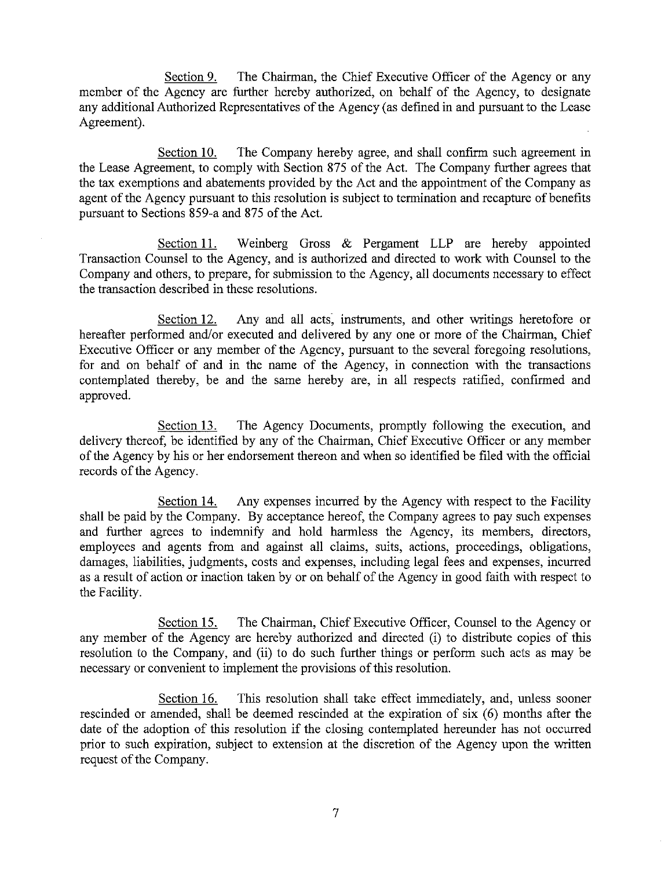Section 9. The Chairman, the Chief Executive Officer of the Agency or any member of the Agency are further hereby authorized, on behalf of the Agency, to designate any additional Authorized Representatives of the Agency (as defined in and pursuant to the Lease Agreement).

Section 10. The Company hereby agree, and shall confirm such agreement in the Lease Agreement, to comply with Section 875 of the Act. The Company further agrees that the tax exemptions and abatements provided by the Act and the appointment of the Company as agent of the Agency pursuant to this resolution is subject to termination and recapture of benefits pursuant to Sections 859-a and 875 of the Act.

Weinberg Gross & Pergament LLP are hereby appointed Section 11. Transaction Counsel to the Agency, and is authorized and directed to work with Counsel to the Company and others, to prepare, for submission to the Agency, all documents necessary to effect the transaction described in these resolutions.

Section 12. Any and all acts, instruments, and other writings heretofore or hereafter performed and/or executed and delivered by any one or more of the Chairman, Chief Executive Officer or any member of the Agency, pursuant to the several foregoing resolutions, for and on behalf of and in the name of the Agency, in connection with the transactions contemplated thereby, be and the same hereby are, in all respects ratified, confirmed and approved.

The Agency Documents, promptly following the execution, and Section 13. delivery thereof, be identified by any of the Chairman, Chief Executive Officer or any member of the Agency by his or her endorsement thereon and when so identified be filed with the official records of the Agency.

Section 14. Any expenses incurred by the Agency with respect to the Facility shall be paid by the Company. By acceptance hereof, the Company agrees to pay such expenses and further agrees to indemnify and hold harmless the Agency, its members, directors, employees and agents from and against all claims, suits, actions, proceedings, obligations, damages, liabilities, judgments, costs and expenses, including legal fees and expenses, incurred as a result of action or inaction taken by or on behalf of the Agency in good faith with respect to the Facility.

The Chairman, Chief Executive Officer, Counsel to the Agency or Section 15. any member of the Agency are hereby authorized and directed (i) to distribute copies of this resolution to the Company, and (ii) to do such further things or perform such acts as may be necessary or convenient to implement the provisions of this resolution.

This resolution shall take effect immediately, and, unless sooner Section 16. rescinded or amended, shall be deemed rescinded at the expiration of six (6) months after the date of the adoption of this resolution if the closing contemplated hereunder has not occurred prior to such expiration, subject to extension at the discretion of the Agency upon the written request of the Company.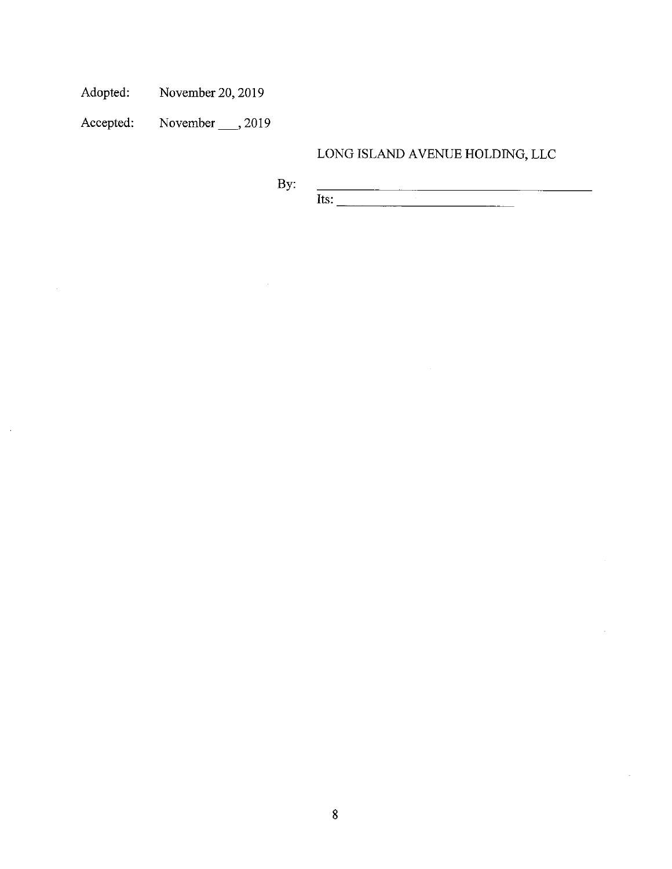Adopted: November 20, 2019

November  $\_\_$ , 2019 Accepted:

 $\bar{\gamma}$ 

 $\sim$ 

# $\,$  LONG ISLAND AVENUE HOLDING, LLC

 $By$  $\overline{\text{Its:}}$ 

 $\sim$